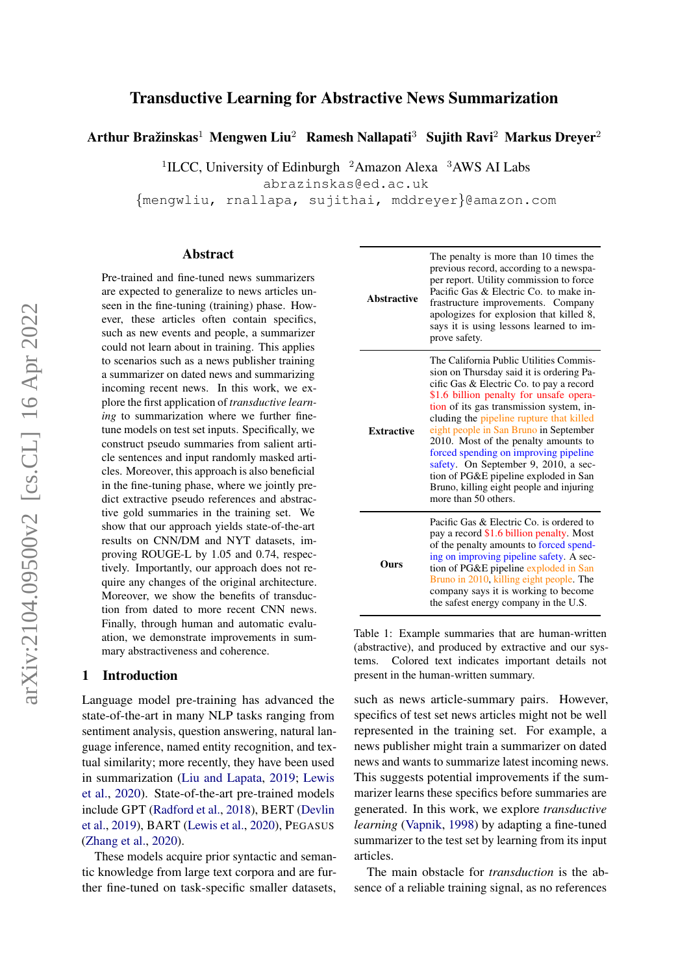# Transductive Learning for Abstractive News Summarization

Arthur Bražinskas $^1\,$  Mengwen Liu $^2\,$  Ramesh Nallapati $^3\,$  Sujith Ravi $^2\,$  Markus Dreyer $^2$ 

<sup>1</sup>ILCC, University of Edinburgh <sup>2</sup>Amazon Alexa <sup>3</sup>AWS AI Labs

abrazinskas@ed.ac.uk

{mengwliu, rnallapa, sujithai, mddreyer}@amazon.com

#### Abstract

Pre-trained and fine-tuned news summarizers are expected to generalize to news articles unseen in the fine-tuning (training) phase. However, these articles often contain specifics, such as new events and people, a summarizer could not learn about in training. This applies to scenarios such as a news publisher training a summarizer on dated news and summarizing incoming recent news. In this work, we explore the first application of *transductive learning* to summarization where we further finetune models on test set inputs. Specifically, we construct pseudo summaries from salient article sentences and input randomly masked articles. Moreover, this approach is also beneficial in the fine-tuning phase, where we jointly predict extractive pseudo references and abstractive gold summaries in the training set. We show that our approach yields state-of-the-art results on CNN/DM and NYT datasets, improving ROUGE-L by 1.05 and 0.74, respectively. Importantly, our approach does not require any changes of the original architecture. Moreover, we show the benefits of transduction from dated to more recent CNN news. Finally, through human and automatic evaluation, we demonstrate improvements in summary abstractiveness and coherence.

#### 1 Introduction

Language model pre-training has advanced the state-of-the-art in many NLP tasks ranging from sentiment analysis, question answering, natural language inference, named entity recognition, and textual similarity; more recently, they have been used in summarization [\(Liu and Lapata,](#page-9-0) [2019;](#page-9-0) [Lewis](#page-9-1) [et al.,](#page-9-1) [2020\)](#page-9-1). State-of-the-art pre-trained models include GPT [\(Radford et al.,](#page-9-2) [2018\)](#page-9-2), BERT [\(Devlin](#page-8-0) [et al.,](#page-8-0) [2019\)](#page-8-0), BART [\(Lewis et al.,](#page-9-1) [2020\)](#page-9-1), PEGASUS [\(Zhang et al.,](#page-10-0) [2020\)](#page-10-0).

These models acquire prior syntactic and semantic knowledge from large text corpora and are further fine-tuned on task-specific smaller datasets,

<span id="page-0-0"></span>

|  | <b>Abstractive</b> | The penalty is more than 10 times the<br>previous record, according to a newspa-<br>per report. Utility commission to force<br>Pacific Gas & Electric Co. to make in-<br>frastructure improvements. Company<br>apologizes for explosion that killed 8,<br>says it is using lessons learned to im-<br>prove safety.                                                                                                                                                                                                                                 |
|--|--------------------|----------------------------------------------------------------------------------------------------------------------------------------------------------------------------------------------------------------------------------------------------------------------------------------------------------------------------------------------------------------------------------------------------------------------------------------------------------------------------------------------------------------------------------------------------|
|  | <b>Extractive</b>  | The California Public Utilities Commis-<br>sion on Thursday said it is ordering Pa-<br>cific Gas & Electric Co. to pay a record<br>\$1.6 billion penalty for unsafe opera-<br>tion of its gas transmission system, in-<br>cluding the pipeline rupture that killed<br>eight people in San Bruno in September<br>2010. Most of the penalty amounts to<br>forced spending on improving pipeline<br>safety. On September 9, 2010, a sec-<br>tion of PG&E pipeline exploded in San<br>Bruno, killing eight people and injuring<br>more than 50 others. |
|  | Ours               | Pacific Gas & Electric Co. is ordered to<br>pay a record \$1.6 billion penalty. Most<br>of the penalty amounts to forced spend-<br>ing on improving pipeline safety. A sec-<br>tion of PG&E pipeline exploded in San<br>Bruno in 2010, killing eight people. The<br>company says it is working to become<br>the safest energy company in the U.S.                                                                                                                                                                                                  |

Table 1: Example summaries that are human-written (abstractive), and produced by extractive and our systems. Colored text indicates important details not present in the human-written summary.

such as news article-summary pairs. However, specifics of test set news articles might not be well represented in the training set. For example, a news publisher might train a summarizer on dated news and wants to summarize latest incoming news. This suggests potential improvements if the summarizer learns these specifics before summaries are generated. In this work, we explore *transductive learning* [\(Vapnik,](#page-9-3) [1998\)](#page-9-3) by adapting a fine-tuned summarizer to the test set by learning from its input articles.

The main obstacle for *transduction* is the absence of a reliable training signal, as no references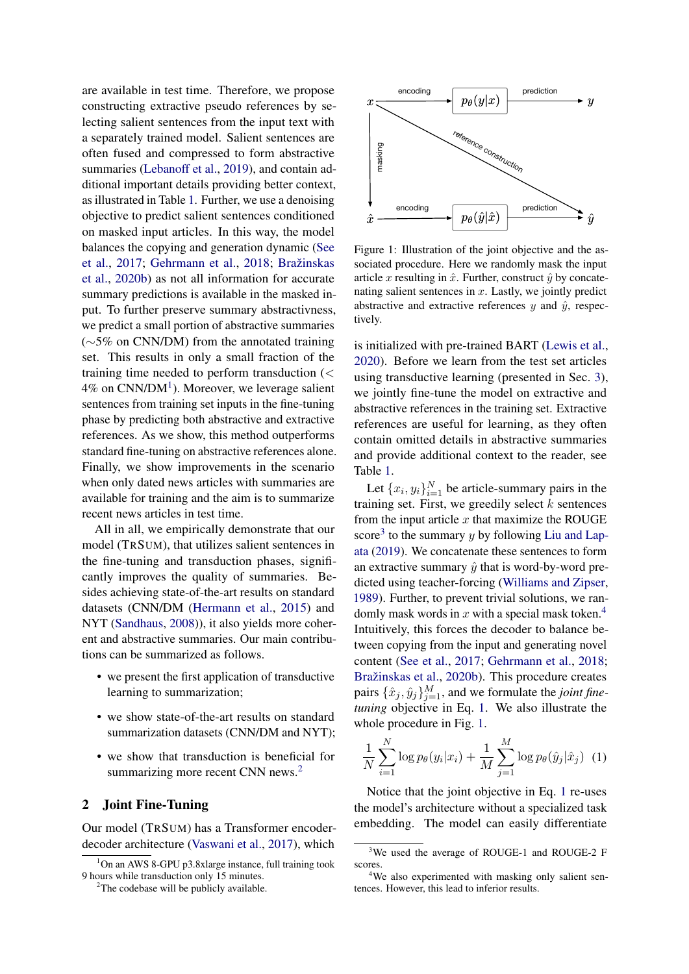are available in test time. Therefore, we propose constructing extractive pseudo references by selecting salient sentences from the input text with a separately trained model. Salient sentences are often fused and compressed to form abstractive summaries [\(Lebanoff et al.,](#page-9-4) [2019\)](#page-9-4), and contain additional important details providing better context, as illustrated in Table [1.](#page-0-0) Further, we use a denoising objective to predict salient sentences conditioned on masked input articles. In this way, the model balances the copying and generation dynamic [\(See](#page-9-5) [et al.,](#page-9-5) [2017;](#page-9-5) [Gehrmann et al.,](#page-8-1) [2018;](#page-8-1) Bražinskas [et al.,](#page-8-2) [2020b\)](#page-8-2) as not all information for accurate summary predictions is available in the masked input. To further preserve summary abstractivness, we predict a small portion of abstractive summaries (∼5% on CNN/DM) from the annotated training set. This results in only a small fraction of the training time needed to perform transduction (<  $4\%$  on CNN/DM<sup>[1](#page-1-0)</sup>). Moreover, we leverage salient sentences from training set inputs in the fine-tuning phase by predicting both abstractive and extractive references. As we show, this method outperforms standard fine-tuning on abstractive references alone. Finally, we show improvements in the scenario when only dated news articles with summaries are available for training and the aim is to summarize recent news articles in test time.

All in all, we empirically demonstrate that our model (TRSUM), that utilizes salient sentences in the fine-tuning and transduction phases, significantly improves the quality of summaries. Besides achieving state-of-the-art results on standard datasets (CNN/DM [\(Hermann et al.,](#page-8-3) [2015\)](#page-8-3) and NYT [\(Sandhaus,](#page-9-6) [2008\)](#page-9-6)), it also yields more coherent and abstractive summaries. Our main contributions can be summarized as follows.

- we present the first application of transductive learning to summarization;
- we show state-of-the-art results on standard summarization datasets (CNN/DM and NYT);
- we show that transduction is beneficial for summarizing more recent CNN news.<sup>[2](#page-1-1)</sup>

## <span id="page-1-6"></span>2 Joint Fine-Tuning

Our model (TRSUM) has a Transformer encoderdecoder architecture [\(Vaswani et al.,](#page-9-7) [2017\)](#page-9-7), which

<span id="page-1-5"></span>

Figure 1: Illustration of the joint objective and the associated procedure. Here we randomly mask the input article x resulting in  $\hat{x}$ . Further, construct  $\hat{y}$  by concatenating salient sentences in  $x$ . Lastly, we jointly predict abstractive and extractive references y and  $\hat{y}$ , respectively.

is initialized with pre-trained BART [\(Lewis et al.,](#page-9-1) [2020\)](#page-9-1). Before we learn from the test set articles using transductive learning (presented in Sec. [3\)](#page-2-0), we jointly fine-tune the model on extractive and abstractive references in the training set. Extractive references are useful for learning, as they often contain omitted details in abstractive summaries and provide additional context to the reader, see Table [1.](#page-0-0)

Let  ${x_i, y_i}_{i=1}^N$  be article-summary pairs in the training set. First, we greedily select  $k$  sentences from the input article  $x$  that maximize the ROUGE score<sup>[3](#page-1-2)</sup> to the summary  $y$  by following [Liu and Lap](#page-9-0)[ata](#page-9-0) [\(2019\)](#page-9-0). We concatenate these sentences to form an extractive summary  $\hat{y}$  that is word-by-word predicted using teacher-forcing [\(Williams and Zipser,](#page-9-8) [1989\)](#page-9-8). Further, to prevent trivial solutions, we ran-domly mask words in x with a special mask token.<sup>[4](#page-1-3)</sup> Intuitively, this forces the decoder to balance between copying from the input and generating novel content [\(See et al.,](#page-9-5) [2017;](#page-9-5) [Gehrmann et al.,](#page-8-1) [2018;](#page-8-1) Bražinskas et al., [2020b\)](#page-8-2). This procedure creates pairs  $\{\hat{x}_j, \hat{y}_j\}_{j=1}^M$ , and we formulate the *joint finetuning* objective in Eq. [1.](#page-1-4) We also illustrate the whole procedure in Fig. [1.](#page-1-5)

<span id="page-1-4"></span>
$$
\frac{1}{N} \sum_{i=1}^{N} \log p_{\theta}(y_i | x_i) + \frac{1}{M} \sum_{j=1}^{M} \log p_{\theta}(\hat{y}_j | \hat{x}_j) \tag{1}
$$

Notice that the joint objective in Eq. [1](#page-1-4) re-uses the model's architecture without a specialized task embedding. The model can easily differentiate

<span id="page-1-0"></span> $1$ On an AWS 8-GPU p3.8xlarge instance, full training took 9 hours while transduction only 15 minutes.

<span id="page-1-1"></span><sup>&</sup>lt;sup>2</sup>The codebase will be publicly available.

<span id="page-1-2"></span><sup>&</sup>lt;sup>3</sup>We used the average of ROUGE-1 and ROUGE-2 F scores.

<span id="page-1-3"></span><sup>&</sup>lt;sup>4</sup>We also experimented with masking only salient sentences. However, this lead to inferior results.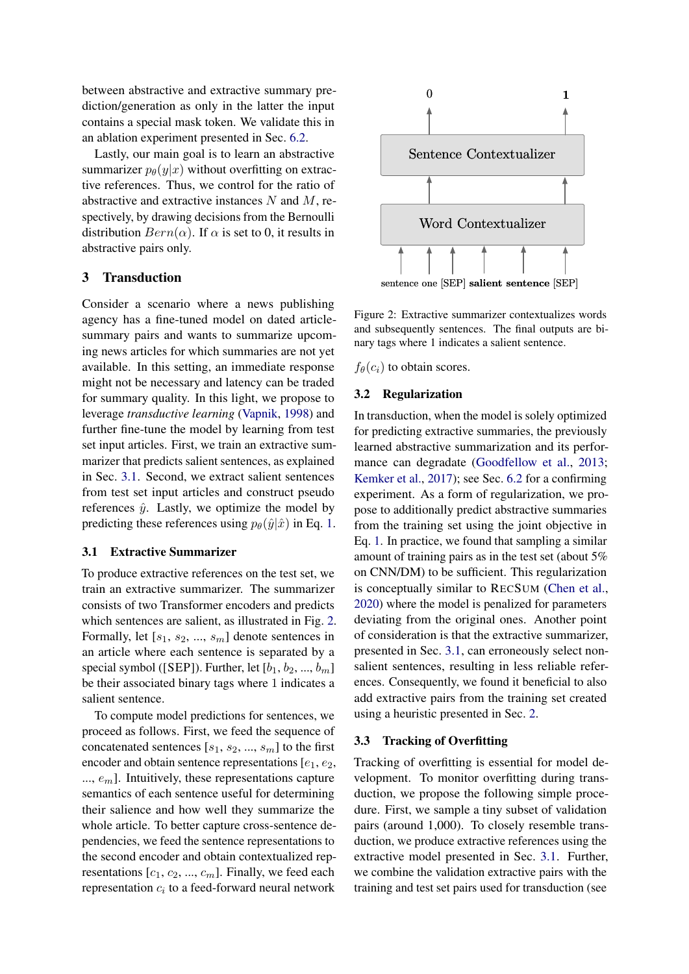between abstractive and extractive summary prediction/generation as only in the latter the input contains a special mask token. We validate this in an ablation experiment presented in Sec. [6.2.](#page-6-0)

Lastly, our main goal is to learn an abstractive summarizer  $p_{\theta}(y|x)$  without overfitting on extractive references. Thus, we control for the ratio of abstractive and extractive instances  $N$  and  $M$ , respectively, by drawing decisions from the Bernoulli distribution  $Bern(\alpha)$ . If  $\alpha$  is set to 0, it results in abstractive pairs only.

# <span id="page-2-0"></span>3 Transduction

Consider a scenario where a news publishing agency has a fine-tuned model on dated articlesummary pairs and wants to summarize upcoming news articles for which summaries are not yet available. In this setting, an immediate response might not be necessary and latency can be traded for summary quality. In this light, we propose to leverage *transductive learning* [\(Vapnik,](#page-9-3) [1998\)](#page-9-3) and further fine-tune the model by learning from test set input articles. First, we train an extractive summarizer that predicts salient sentences, as explained in Sec. [3.1.](#page-2-1) Second, we extract salient sentences from test set input articles and construct pseudo references  $\hat{y}$ . Lastly, we optimize the model by predicting these references using  $p_{\theta}(\hat{y}|\hat{x})$  in Eq. [1.](#page-1-4)

## <span id="page-2-1"></span>3.1 Extractive Summarizer

To produce extractive references on the test set, we train an extractive summarizer. The summarizer consists of two Transformer encoders and predicts which sentences are salient, as illustrated in Fig. [2.](#page-2-2) Formally, let  $[s_1, s_2, ..., s_m]$  denote sentences in an article where each sentence is separated by a special symbol ([SEP]). Further, let  $[b_1, b_2, ..., b_m]$ be their associated binary tags where 1 indicates a salient sentence.

To compute model predictions for sentences, we proceed as follows. First, we feed the sequence of concatenated sentences  $[s_1, s_2, ..., s_m]$  to the first encoder and obtain sentence representations  $[e_1, e_2]$ ,  $..., e<sub>m</sub>$ . Intuitively, these representations capture semantics of each sentence useful for determining their salience and how well they summarize the whole article. To better capture cross-sentence dependencies, we feed the sentence representations to the second encoder and obtain contextualized representations  $[c_1, c_2, ..., c_m]$ . Finally, we feed each representation  $c_i$  to a feed-forward neural network

<span id="page-2-2"></span>

Figure 2: Extractive summarizer contextualizes words and subsequently sentences. The final outputs are bi-

nary tags where 1 indicates a salient sentence.

 $f_{\theta}(c_i)$  to obtain scores.

#### <span id="page-2-3"></span>3.2 Regularization

In transduction, when the model is solely optimized for predicting extractive summaries, the previously learned abstractive summarization and its performance can degradate [\(Goodfellow et al.,](#page-8-4) [2013;](#page-8-4) [Kemker et al.,](#page-8-5) [2017\)](#page-8-5); see Sec. [6.2](#page-6-0) for a confirming experiment. As a form of regularization, we propose to additionally predict abstractive summaries from the training set using the joint objective in Eq. [1.](#page-1-4) In practice, we found that sampling a similar amount of training pairs as in the test set (about 5% on CNN/DM) to be sufficient. This regularization is conceptually similar to RECSUM [\(Chen et al.,](#page-8-6) [2020\)](#page-8-6) where the model is penalized for parameters deviating from the original ones. Another point of consideration is that the extractive summarizer, presented in Sec. [3.1,](#page-2-1) can erroneously select nonsalient sentences, resulting in less reliable references. Consequently, we found it beneficial to also add extractive pairs from the training set created using a heuristic presented in Sec. [2.](#page-1-6)

#### 3.3 Tracking of Overfitting

Tracking of overfitting is essential for model development. To monitor overfitting during transduction, we propose the following simple procedure. First, we sample a tiny subset of validation pairs (around 1,000). To closely resemble transduction, we produce extractive references using the extractive model presented in Sec. [3.1.](#page-2-1) Further, we combine the validation extractive pairs with the training and test set pairs used for transduction (see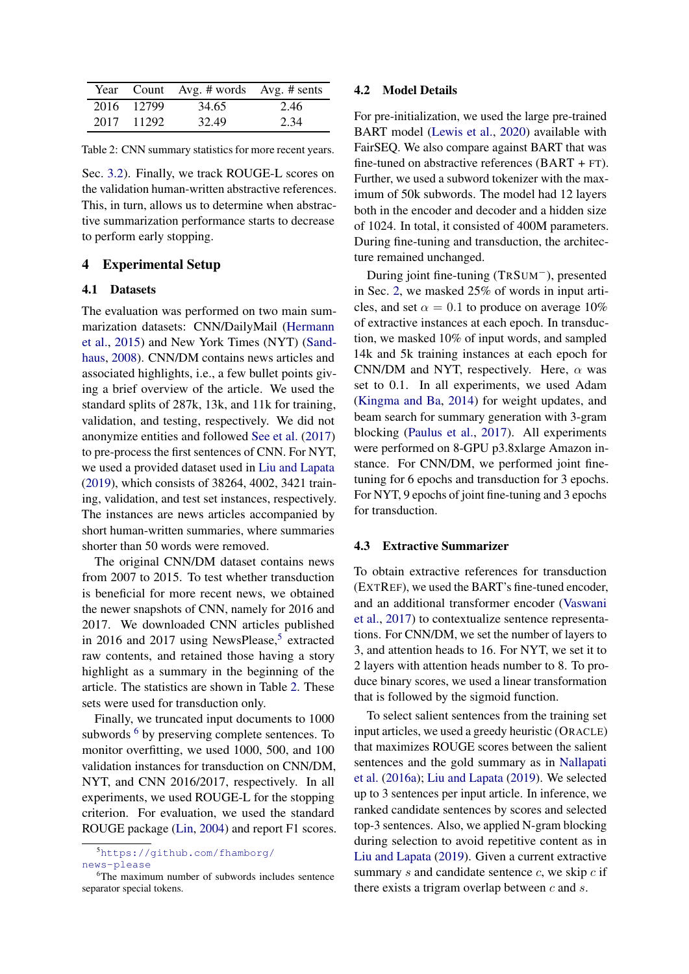<span id="page-3-1"></span>

|            | Year Count Avg. # words Avg. # sents |      |
|------------|--------------------------------------|------|
| 2016 12799 | 34.65                                | 2.46 |
| 2017 11292 | 32.49                                | 2.34 |

Table 2: CNN summary statistics for more recent years.

Sec. [3.2\)](#page-2-3). Finally, we track ROUGE-L scores on the validation human-written abstractive references. This, in turn, allows us to determine when abstractive summarization performance starts to decrease to perform early stopping.

## 4 Experimental Setup

## 4.1 Datasets

The evaluation was performed on two main summarization datasets: CNN/DailyMail [\(Hermann](#page-8-3) [et al.,](#page-8-3) [2015\)](#page-8-3) and New York Times (NYT) [\(Sand](#page-9-6)[haus,](#page-9-6) [2008\)](#page-9-6). CNN/DM contains news articles and associated highlights, i.e., a few bullet points giving a brief overview of the article. We used the standard splits of 287k, 13k, and 11k for training, validation, and testing, respectively. We did not anonymize entities and followed [See et al.](#page-9-5) [\(2017\)](#page-9-5) to pre-process the first sentences of CNN. For NYT, we used a provided dataset used in [Liu and Lapata](#page-9-0) [\(2019\)](#page-9-0), which consists of 38264, 4002, 3421 training, validation, and test set instances, respectively. The instances are news articles accompanied by short human-written summaries, where summaries shorter than 50 words were removed.

The original CNN/DM dataset contains news from 2007 to 2015. To test whether transduction is beneficial for more recent news, we obtained the newer snapshots of CNN, namely for 2016 and 2017. We downloaded CNN articles published in 2016 and 2017 using NewsPlease,<sup>[5](#page-3-0)</sup> extracted raw contents, and retained those having a story highlight as a summary in the beginning of the article. The statistics are shown in Table [2.](#page-3-1) These sets were used for transduction only.

Finally, we truncated input documents to 1000 subwords <sup>[6](#page-3-2)</sup> by preserving complete sentences. To monitor overfitting, we used 1000, 500, and 100 validation instances for transduction on CNN/DM, NYT, and CNN 2016/2017, respectively. In all experiments, we used ROUGE-L for the stopping criterion. For evaluation, we used the standard ROUGE package [\(Lin,](#page-9-9) [2004\)](#page-9-9) and report F1 scores.

#### 4.2 Model Details

For pre-initialization, we used the large pre-trained BART model [\(Lewis et al.,](#page-9-1) [2020\)](#page-9-1) available with FairSEQ. We also compare against BART that was fine-tuned on abstractive references (BART + FT). Further, we used a subword tokenizer with the maximum of 50k subwords. The model had 12 layers both in the encoder and decoder and a hidden size of 1024. In total, it consisted of 400M parameters. During fine-tuning and transduction, the architecture remained unchanged.

During joint fine-tuning (TRSUM−), presented in Sec. [2,](#page-1-6) we masked 25% of words in input articles, and set  $\alpha = 0.1$  to produce on average 10% of extractive instances at each epoch. In transduction, we masked 10% of input words, and sampled 14k and 5k training instances at each epoch for CNN/DM and NYT, respectively. Here,  $\alpha$  was set to 0.1. In all experiments, we used Adam [\(Kingma and Ba,](#page-8-7) [2014\)](#page-8-7) for weight updates, and beam search for summary generation with 3-gram blocking [\(Paulus et al.,](#page-9-10) [2017\)](#page-9-10). All experiments were performed on 8-GPU p3.8xlarge Amazon instance. For CNN/DM, we performed joint finetuning for 6 epochs and transduction for 3 epochs. For NYT, 9 epochs of joint fine-tuning and 3 epochs for transduction.

#### 4.3 Extractive Summarizer

To obtain extractive references for transduction (EXTREF), we used the BART's fine-tuned encoder, and an additional transformer encoder [\(Vaswani](#page-9-7) [et al.,](#page-9-7) [2017\)](#page-9-7) to contextualize sentence representations. For CNN/DM, we set the number of layers to 3, and attention heads to 16. For NYT, we set it to 2 layers with attention heads number to 8. To produce binary scores, we used a linear transformation that is followed by the sigmoid function.

To select salient sentences from the training set input articles, we used a greedy heuristic (ORACLE) that maximizes ROUGE scores between the salient sentences and the gold summary as in [Nallapati](#page-9-11) [et al.](#page-9-11) [\(2016a\)](#page-9-11); [Liu and Lapata](#page-9-0) [\(2019\)](#page-9-0). We selected up to 3 sentences per input article. In inference, we ranked candidate sentences by scores and selected top-3 sentences. Also, we applied N-gram blocking during selection to avoid repetitive content as in [Liu and Lapata](#page-9-0) [\(2019\)](#page-9-0). Given a current extractive summary s and candidate sentence  $c$ , we skip  $c$  if there exists a trigram overlap between c and s.

<span id="page-3-0"></span><sup>5</sup>[https://github.com/fhamborg/](https://github.com/fhamborg/news-please) [news-please](https://github.com/fhamborg/news-please)

<span id="page-3-2"></span><sup>&</sup>lt;sup>6</sup>The maximum number of subwords includes sentence separator special tokens.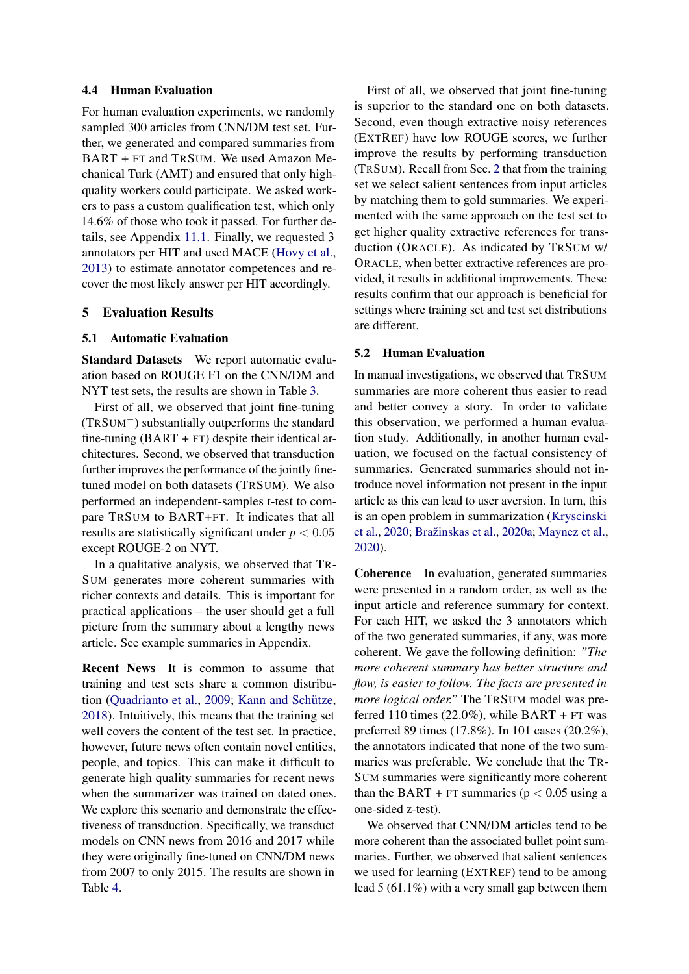### 4.4 Human Evaluation

For human evaluation experiments, we randomly sampled 300 articles from CNN/DM test set. Further, we generated and compared summaries from BART + FT and TRSUM. We used Amazon Mechanical Turk (AMT) and ensured that only highquality workers could participate. We asked workers to pass a custom qualification test, which only 14.6% of those who took it passed. For further details, see Appendix [11.1.](#page-10-1) Finally, we requested 3 annotators per HIT and used MACE [\(Hovy et al.,](#page-8-8) [2013\)](#page-8-8) to estimate annotator competences and recover the most likely answer per HIT accordingly.

# 5 Evaluation Results

#### 5.1 Automatic Evaluation

Standard Datasets We report automatic evaluation based on ROUGE F1 on the CNN/DM and NYT test sets, the results are shown in Table [3.](#page-5-0)

First of all, we observed that joint fine-tuning (TRSUM−) substantially outperforms the standard fine-tuning  $(BART + FT)$  despite their identical architectures. Second, we observed that transduction further improves the performance of the jointly finetuned model on both datasets (TRSUM). We also performed an independent-samples t-test to compare TRSUM to BART+FT. It indicates that all results are statistically significant under  $p < 0.05$ except ROUGE-2 on NYT.

In a qualitative analysis, we observed that TR-SUM generates more coherent summaries with richer contexts and details. This is important for practical applications – the user should get a full picture from the summary about a lengthy news article. See example summaries in Appendix.

Recent News It is common to assume that training and test sets share a common distribu-tion [\(Quadrianto et al.,](#page-9-12) [2009;](#page-9-12) Kann and Schütze, [2018\)](#page-8-9). Intuitively, this means that the training set well covers the content of the test set. In practice, however, future news often contain novel entities, people, and topics. This can make it difficult to generate high quality summaries for recent news when the summarizer was trained on dated ones. We explore this scenario and demonstrate the effectiveness of transduction. Specifically, we transduct models on CNN news from 2016 and 2017 while they were originally fine-tuned on CNN/DM news from 2007 to only 2015. The results are shown in Table [4.](#page-5-1)

First of all, we observed that joint fine-tuning is superior to the standard one on both datasets. Second, even though extractive noisy references (EXTREF) have low ROUGE scores, we further improve the results by performing transduction (TRSUM). Recall from Sec. [2](#page-1-6) that from the training set we select salient sentences from input articles by matching them to gold summaries. We experimented with the same approach on the test set to get higher quality extractive references for transduction (ORACLE). As indicated by TRSUM w/ ORACLE, when better extractive references are provided, it results in additional improvements. These results confirm that our approach is beneficial for settings where training set and test set distributions are different.

#### 5.2 Human Evaluation

In manual investigations, we observed that TRSUM summaries are more coherent thus easier to read and better convey a story. In order to validate this observation, we performed a human evaluation study. Additionally, in another human evaluation, we focused on the factual consistency of summaries. Generated summaries should not introduce novel information not present in the input article as this can lead to user aversion. In turn, this is an open problem in summarization [\(Kryscinski](#page-8-10) [et al.,](#page-8-10) [2020;](#page-8-10) Bražinskas et al., [2020a;](#page-8-11) [Maynez et al.,](#page-9-13) [2020\)](#page-9-13).

Coherence In evaluation, generated summaries were presented in a random order, as well as the input article and reference summary for context. For each HIT, we asked the 3 annotators which of the two generated summaries, if any, was more coherent. We gave the following definition: *"The more coherent summary has better structure and flow, is easier to follow. The facts are presented in more logical order."* The TRSUM model was preferred 110 times  $(22.0\%)$ , while BART + FT was preferred 89 times (17.8%). In 101 cases (20.2%), the annotators indicated that none of the two summaries was preferable. We conclude that the TR-SUM summaries were significantly more coherent than the BART + FT summaries ( $p < 0.05$  using a one-sided z-test).

We observed that CNN/DM articles tend to be more coherent than the associated bullet point summaries. Further, we observed that salient sentences we used for learning (EXTREF) tend to be among lead 5 (61.1%) with a very small gap between them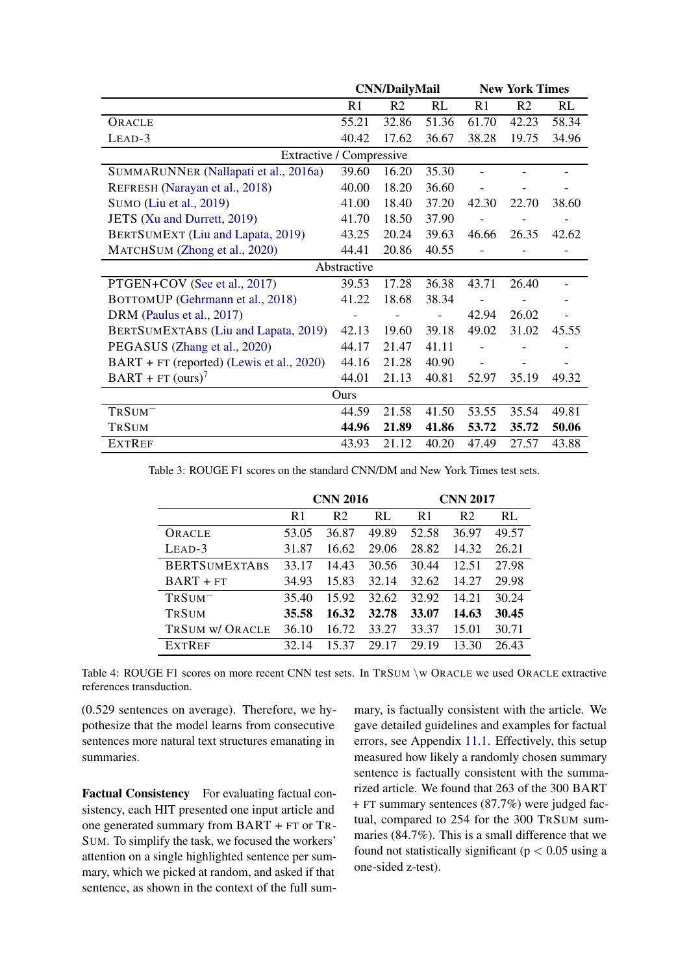<span id="page-5-0"></span>

|                                           | <b>CNN/DailyMail</b> |       | <b>New York Times</b> |                |                |       |
|-------------------------------------------|----------------------|-------|-----------------------|----------------|----------------|-------|
|                                           | R1                   | R2    | RL                    | R <sub>1</sub> | R <sub>2</sub> | RL    |
| ORACLE                                    | 55.21                | 32.86 | 51.36                 | 61.70          | 42.23          | 58.34 |
| LEAD-3                                    | 40.42                | 17.62 | 36.67                 | 38.28          | 19.75          | 34.96 |
| Extractive / Compressive                  |                      |       |                       |                |                |       |
| SUMMARUNNER (Nallapati et al., 2016a)     | 39.60                | 16.20 | 35.30                 |                |                |       |
| REFRESH (Narayan et al., 2018)            | 40.00                | 18.20 | 36.60                 |                |                |       |
| SUMO (Liu et al., 2019)                   | 41.00                | 18.40 | 37.20                 | 42.30          | 22.70          | 38.60 |
| JETS (Xu and Durrett, 2019)               | 41.70                | 18.50 | 37.90                 |                |                |       |
| BERTSUMEXT (Liu and Lapata, 2019)         | 43.25                | 20.24 | 39.63                 | 46.66          | 26.35          | 42.62 |
| MATCHSUM (Zhong et al., 2020)             | 44.41                | 20.86 | 40.55                 |                |                |       |
|                                           | Abstractive          |       |                       |                |                |       |
| PTGEN+COV (See et al., 2017)              | 39.53                | 17.28 | 36.38                 | 43.71          | 26.40          |       |
| BOTTOMUP (Gehrmann et al., 2018)          | 41.22                | 18.68 | 38.34                 |                |                |       |
| DRM (Paulus et al., 2017)                 |                      |       |                       | 42.94          | 26.02          |       |
| BERTSUMEXTABS (Liu and Lapata, 2019)      | 42.13                | 19.60 | 39.18                 | 49.02          | 31.02          | 45.55 |
| PEGASUS (Zhang et al., 2020)              | 44.17                | 21.47 | 41.11                 |                |                |       |
| BART + FT (reported) (Lewis et al., 2020) | 44.16                | 21.28 | 40.90                 | $\overline{a}$ |                |       |
| $BART + FT (ours)7$                       | 44.01                | 21.13 | 40.81                 | 52.97          | 35.19          | 49.32 |
| Ours                                      |                      |       |                       |                |                |       |
| TRSUM <sup>-</sup>                        | 44.59                | 21.58 | 41.50                 | 53.55          | 35.54          | 49.81 |
| <b>TRSUM</b>                              | 44.96                | 21.89 | 41.86                 | 53.72          | 35.72          | 50.06 |
| <b>EXTREF</b>                             | 43.93                | 21.12 | 40.20                 | 47.49          | 27.57          | 43.88 |

<span id="page-5-1"></span>Table 3: ROUGE F1 scores on the standard CNN/DM and New York Times test sets.

|                      | <b>CNN 2016</b> |                |       | <b>CNN 2017</b> |                |           |  |
|----------------------|-----------------|----------------|-------|-----------------|----------------|-----------|--|
|                      | R <sub>1</sub>  | R <sub>2</sub> | RL    | R <sub>1</sub>  | R <sub>2</sub> | <b>RL</b> |  |
| ORACLE               | 53.05           | 36.87          | 49.89 | 52.58           | 36.97          | 49.57     |  |
| $LEAD-3$             | 31.87           | 16.62          | 29.06 | 28.82           | 14.32          | 26.21     |  |
| <b>BERTSUMEXTABS</b> | 33.17           | 14.43          | 30.56 | 30.44           | 12.51          | 27.98     |  |
| $BART + FT$          | 34.93           | 15.83          | 32.14 | 32.62           | 14.27          | 29.98     |  |
| TRSUM <sup>-</sup>   | 35.40           | 15.92          | 32.62 | 32.92           | 14.21          | 30.24     |  |
| <b>TRSUM</b>         | 35.58           | 16.32          | 32.78 | 33.07           | 14.63          | 30.45     |  |
| TRSUM W/ ORACLE      | 36.10           | 16.72          | 33.27 | 33.37           | 15.01          | 30.71     |  |
| <b>EXTREF</b>        | 32.14           | 15 37          | 29.17 | 29.19           | 13.30          | 26.43     |  |

Table 4: ROUGE F1 scores on more recent CNN test sets. In TRSUM \w ORACLE we used ORACLE extractive references transduction.

(0.529 sentences on average). Therefore, we hypothesize that the model learns from consecutive sentences more natural text structures emanating in summaries.

Factual Consistency For evaluating factual consistency, each HIT presented one input article and one generated summary from BART + FT or TR-SUM. To simplify the task, we focused the workers' attention on a single highlighted sentence per summary, which we picked at random, and asked if that sentence, as shown in the context of the full summary, is factually consistent with the article. We gave detailed guidelines and examples for factual errors, see Appendix [11.1.](#page-10-1) Effectively, this setup measured how likely a randomly chosen summary sentence is factually consistent with the summarized article. We found that 263 of the 300 BART + FT summary sentences (87.7%) were judged factual, compared to 254 for the 300 TRSUM summaries (84.7%). This is a small difference that we found not statistically significant ( $p < 0.05$  using a one-sided z-test).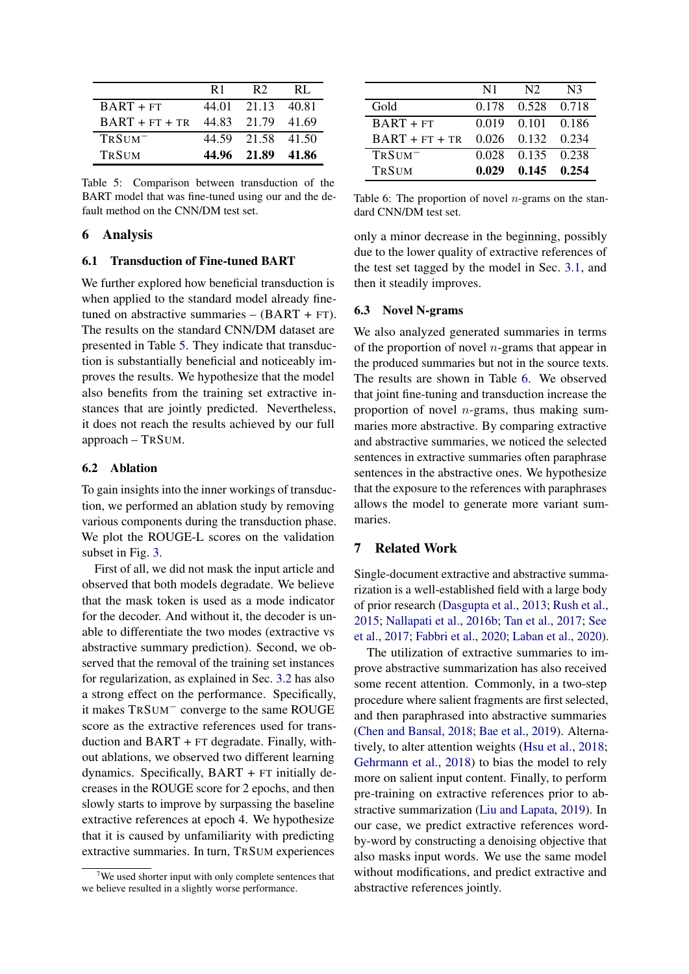<span id="page-6-2"></span>

|                  | R 1 | R <sub>2</sub>    | RL.   |
|------------------|-----|-------------------|-------|
| $BART + FT$      |     | 44.01 21.13 40.81 |       |
| $BART + FT + TR$ |     | 44.83 21.79       | 41.69 |
| $TRSUM^-$        |     | 44.59 21.58 41.50 |       |
| TRSUM            |     | 44.96 21.89       | 41.86 |

Table 5: Comparison between transduction of the BART model that was fine-tuned using our and the default method on the CNN/DM test set.

# 6 Analysis

## 6.1 Transduction of Fine-tuned BART

We further explored how beneficial transduction is when applied to the standard model already finetuned on abstractive summaries  $-$  (BART + FT). The results on the standard CNN/DM dataset are presented in Table [5.](#page-6-2) They indicate that transduction is substantially beneficial and noticeably improves the results. We hypothesize that the model also benefits from the training set extractive instances that are jointly predicted. Nevertheless, it does not reach the results achieved by our full approach – TRSUM.

## <span id="page-6-0"></span>6.2 Ablation

To gain insights into the inner workings of transduction, we performed an ablation study by removing various components during the transduction phase. We plot the ROUGE-L scores on the validation subset in Fig. [3.](#page-7-0)

First of all, we did not mask the input article and observed that both models degradate. We believe that the mask token is used as a mode indicator for the decoder. And without it, the decoder is unable to differentiate the two modes (extractive vs abstractive summary prediction). Second, we observed that the removal of the training set instances for regularization, as explained in Sec. [3.2](#page-2-3) has also a strong effect on the performance. Specifically, it makes TRSUM<sup>−</sup> converge to the same ROUGE score as the extractive references used for transduction and BART + FT degradate. Finally, without ablations, we observed two different learning dynamics. Specifically, BART + FT initially decreases in the ROUGE score for 2 epochs, and then slowly starts to improve by surpassing the baseline extractive references at epoch 4. We hypothesize that it is caused by unfamiliarity with predicting extractive summaries. In turn, TRSUM experiences

<span id="page-6-3"></span>

|                    | $\mathbf{N}$ | N <sub>2</sub> | N3    |
|--------------------|--------------|----------------|-------|
| Gold               | 0.178        | 0.528          | 0.718 |
| $BART + FT$        | 0.019        | 0.101          | 0.186 |
| $BART + FT + TR$   | 0.026        | 0.132          | 0.234 |
| TRSUM <sup>-</sup> | 0.028        | 0.135          | 0.238 |
| <b>TRSUM</b>       | 0.029        | 0.145          | 0.254 |

Table 6: The proportion of novel *n*-grams on the standard CNN/DM test set.

only a minor decrease in the beginning, possibly due to the lower quality of extractive references of the test set tagged by the model in Sec. [3.1,](#page-2-1) and then it steadily improves.

#### 6.3 Novel N-grams

We also analyzed generated summaries in terms of the proportion of novel  $n$ -grams that appear in the produced summaries but not in the source texts. The results are shown in Table [6.](#page-6-3) We observed that joint fine-tuning and transduction increase the proportion of novel  $n$ -grams, thus making summaries more abstractive. By comparing extractive and abstractive summaries, we noticed the selected sentences in extractive summaries often paraphrase sentences in the abstractive ones. We hypothesize that the exposure to the references with paraphrases allows the model to generate more variant summaries.

#### 7 Related Work

Single-document extractive and abstractive summarization is a well-established field with a large body of prior research [\(Dasgupta et al.,](#page-8-12) [2013;](#page-8-12) [Rush et al.,](#page-9-17) [2015;](#page-9-17) [Nallapati et al.,](#page-9-18) [2016b;](#page-9-18) [Tan et al.,](#page-9-19) [2017;](#page-9-19) [See](#page-9-5) [et al.,](#page-9-5) [2017;](#page-9-5) [Fabbri et al.,](#page-8-13) [2020;](#page-8-13) [Laban et al.,](#page-8-14) [2020\)](#page-8-14).

The utilization of extractive summaries to improve abstractive summarization has also received some recent attention. Commonly, in a two-step procedure where salient fragments are first selected, and then paraphrased into abstractive summaries [\(Chen and Bansal,](#page-8-15) [2018;](#page-8-15) [Bae et al.,](#page-8-16) [2019\)](#page-8-16). Alternatively, to alter attention weights [\(Hsu et al.,](#page-8-17) [2018;](#page-8-17) [Gehrmann et al.,](#page-8-1) [2018\)](#page-8-1) to bias the model to rely more on salient input content. Finally, to perform pre-training on extractive references prior to abstractive summarization [\(Liu and Lapata,](#page-9-0) [2019\)](#page-9-0). In our case, we predict extractive references wordby-word by constructing a denoising objective that also masks input words. We use the same model without modifications, and predict extractive and abstractive references jointly.

<span id="page-6-1"></span> $7$ We used shorter input with only complete sentences that we believe resulted in a slightly worse performance.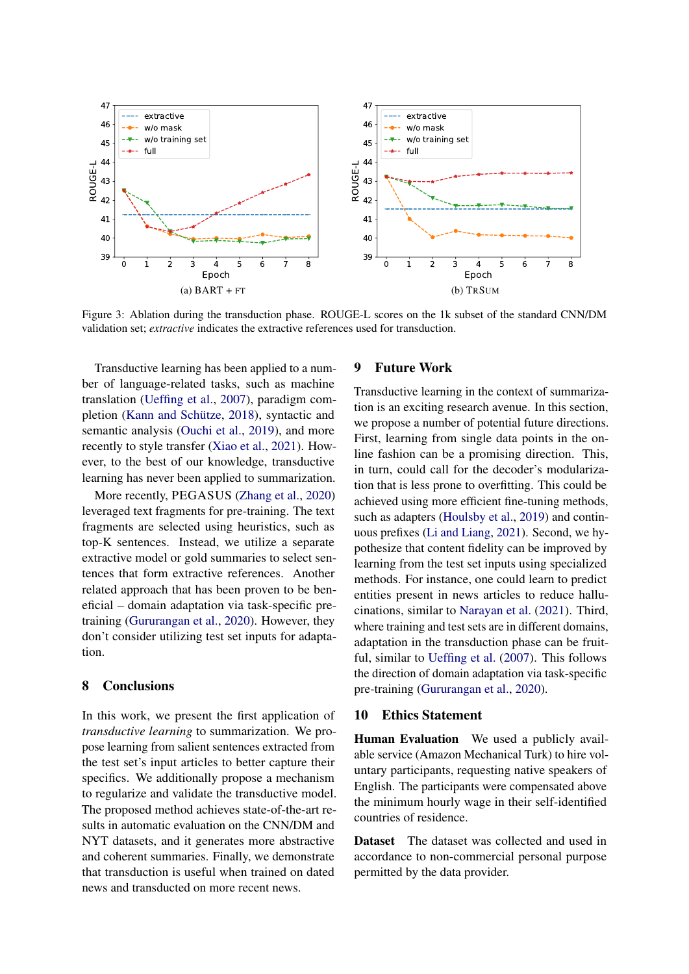<span id="page-7-0"></span>

Figure 3: Ablation during the transduction phase. ROUGE-L scores on the 1k subset of the standard CNN/DM validation set; *extractive* indicates the extractive references used for transduction.

Transductive learning has been applied to a number of language-related tasks, such as machine translation [\(Ueffing et al.,](#page-9-20) [2007\)](#page-9-20), paradigm com-pletion (Kann and Schütze, [2018\)](#page-8-9), syntactic and semantic analysis [\(Ouchi et al.,](#page-9-21) [2019\)](#page-9-21), and more recently to style transfer [\(Xiao et al.,](#page-9-22) [2021\)](#page-9-22). However, to the best of our knowledge, transductive learning has never been applied to summarization.

More recently, PEGASUS [\(Zhang et al.,](#page-10-0) [2020\)](#page-10-0) leveraged text fragments for pre-training. The text fragments are selected using heuristics, such as top-K sentences. Instead, we utilize a separate extractive model or gold summaries to select sentences that form extractive references. Another related approach that has been proven to be beneficial – domain adaptation via task-specific pretraining [\(Gururangan et al.,](#page-8-18) [2020\)](#page-8-18). However, they don't consider utilizing test set inputs for adaptation.

# 8 Conclusions

In this work, we present the first application of *transductive learning* to summarization. We propose learning from salient sentences extracted from the test set's input articles to better capture their specifics. We additionally propose a mechanism to regularize and validate the transductive model. The proposed method achieves state-of-the-art results in automatic evaluation on the CNN/DM and NYT datasets, and it generates more abstractive and coherent summaries. Finally, we demonstrate that transduction is useful when trained on dated news and transducted on more recent news.

#### 9 Future Work

Transductive learning in the context of summarization is an exciting research avenue. In this section, we propose a number of potential future directions. First, learning from single data points in the online fashion can be a promising direction. This, in turn, could call for the decoder's modularization that is less prone to overfitting. This could be achieved using more efficient fine-tuning methods, such as adapters [\(Houlsby et al.,](#page-8-19) [2019\)](#page-8-19) and continuous prefixes [\(Li and Liang,](#page-9-23) [2021\)](#page-9-23). Second, we hypothesize that content fidelity can be improved by learning from the test set inputs using specialized methods. For instance, one could learn to predict entities present in news articles to reduce hallucinations, similar to [Narayan et al.](#page-9-24) [\(2021\)](#page-9-24). Third, where training and test sets are in different domains, adaptation in the transduction phase can be fruitful, similar to [Ueffing et al.](#page-9-20) [\(2007\)](#page-9-20). This follows the direction of domain adaptation via task-specific pre-training [\(Gururangan et al.,](#page-8-18) [2020\)](#page-8-18).

# 10 Ethics Statement

Human Evaluation We used a publicly available service (Amazon Mechanical Turk) to hire voluntary participants, requesting native speakers of English. The participants were compensated above the minimum hourly wage in their self-identified countries of residence.

Dataset The dataset was collected and used in accordance to non-commercial personal purpose permitted by the data provider.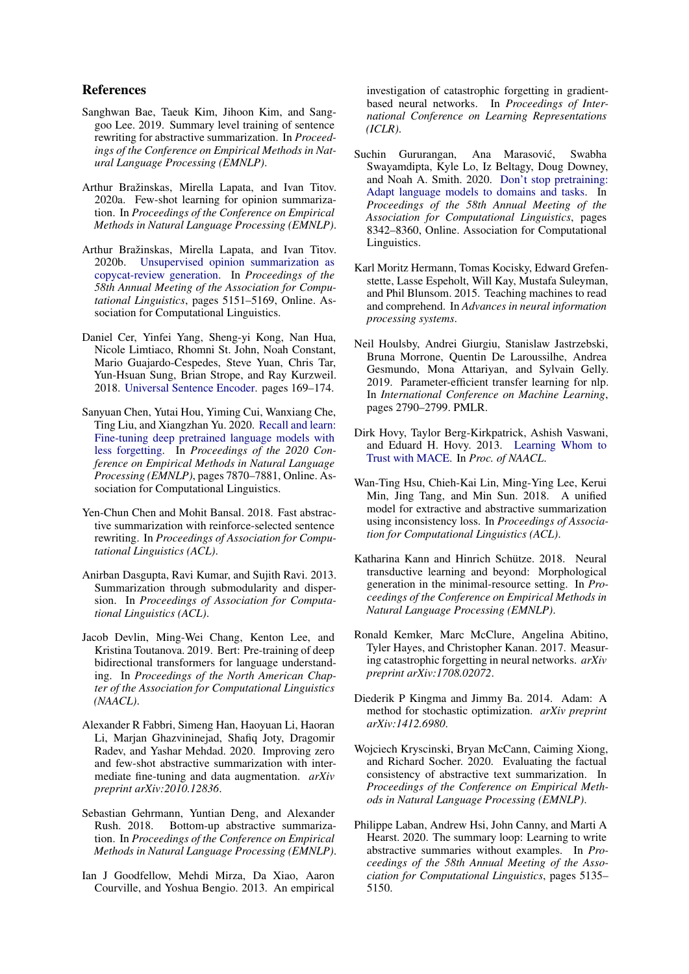## References

- <span id="page-8-16"></span>Sanghwan Bae, Taeuk Kim, Jihoon Kim, and Sanggoo Lee. 2019. Summary level training of sentence rewriting for abstractive summarization. In *Proceedings of the Conference on Empirical Methods in Natural Language Processing (EMNLP)*.
- <span id="page-8-11"></span>Arthur Bražinskas, Mirella Lapata, and Ivan Titov. 2020a. Few-shot learning for opinion summarization. In *Proceedings of the Conference on Empirical Methods in Natural Language Processing (EMNLP)*.
- <span id="page-8-2"></span>Arthur Bražinskas, Mirella Lapata, and Ivan Titov. 2020b. [Unsupervised opinion summarization as](https://doi.org/10.18653/v1/2020.acl-main.461) [copycat-review generation.](https://doi.org/10.18653/v1/2020.acl-main.461) In *Proceedings of the 58th Annual Meeting of the Association for Computational Linguistics*, pages 5151–5169, Online. Association for Computational Linguistics.
- <span id="page-8-20"></span>Daniel Cer, Yinfei Yang, Sheng-yi Kong, Nan Hua, Nicole Limtiaco, Rhomni St. John, Noah Constant, Mario Guajardo-Cespedes, Steve Yuan, Chris Tar, Yun-Hsuan Sung, Brian Strope, and Ray Kurzweil. 2018. [Universal Sentence Encoder.](http://arxiv.org/abs/1803.11175) pages 169–174.
- <span id="page-8-6"></span>Sanyuan Chen, Yutai Hou, Yiming Cui, Wanxiang Che, Ting Liu, and Xiangzhan Yu. 2020. [Recall and learn:](https://doi.org/10.18653/v1/2020.emnlp-main.634) [Fine-tuning deep pretrained language models with](https://doi.org/10.18653/v1/2020.emnlp-main.634) [less forgetting.](https://doi.org/10.18653/v1/2020.emnlp-main.634) In *Proceedings of the 2020 Conference on Empirical Methods in Natural Language Processing (EMNLP)*, pages 7870–7881, Online. Association for Computational Linguistics.
- <span id="page-8-15"></span>Yen-Chun Chen and Mohit Bansal. 2018. Fast abstractive summarization with reinforce-selected sentence rewriting. In *Proceedings of Association for Computational Linguistics (ACL)*.
- <span id="page-8-12"></span>Anirban Dasgupta, Ravi Kumar, and Sujith Ravi. 2013. Summarization through submodularity and dispersion. In *Proceedings of Association for Computational Linguistics (ACL)*.
- <span id="page-8-0"></span>Jacob Devlin, Ming-Wei Chang, Kenton Lee, and Kristina Toutanova. 2019. Bert: Pre-training of deep bidirectional transformers for language understanding. In *Proceedings of the North American Chapter of the Association for Computational Linguistics (NAACL)*.
- <span id="page-8-13"></span>Alexander R Fabbri, Simeng Han, Haoyuan Li, Haoran Li, Marjan Ghazvininejad, Shafiq Joty, Dragomir Radev, and Yashar Mehdad. 2020. Improving zero and few-shot abstractive summarization with intermediate fine-tuning and data augmentation. *arXiv preprint arXiv:2010.12836*.
- <span id="page-8-1"></span>Sebastian Gehrmann, Yuntian Deng, and Alexander Rush. 2018. Bottom-up abstractive summarization. In *Proceedings of the Conference on Empirical Methods in Natural Language Processing (EMNLP)*.
- <span id="page-8-4"></span>Ian J Goodfellow, Mehdi Mirza, Da Xiao, Aaron Courville, and Yoshua Bengio. 2013. An empirical

investigation of catastrophic forgetting in gradientbased neural networks. In *Proceedings of International Conference on Learning Representations (ICLR)*.

- <span id="page-8-18"></span>Suchin Gururangan, Ana Marasović, Swabha Swayamdipta, Kyle Lo, Iz Beltagy, Doug Downey, and Noah A. Smith. 2020. [Don't stop pretraining:](https://doi.org/10.18653/v1/2020.acl-main.740) [Adapt language models to domains and tasks.](https://doi.org/10.18653/v1/2020.acl-main.740) In *Proceedings of the 58th Annual Meeting of the Association for Computational Linguistics*, pages 8342–8360, Online. Association for Computational Linguistics.
- <span id="page-8-3"></span>Karl Moritz Hermann, Tomas Kocisky, Edward Grefenstette, Lasse Espeholt, Will Kay, Mustafa Suleyman, and Phil Blunsom. 2015. Teaching machines to read and comprehend. In *Advances in neural information processing systems*.
- <span id="page-8-19"></span>Neil Houlsby, Andrei Giurgiu, Stanislaw Jastrzebski, Bruna Morrone, Quentin De Laroussilhe, Andrea Gesmundo, Mona Attariyan, and Sylvain Gelly. 2019. Parameter-efficient transfer learning for nlp. In *International Conference on Machine Learning*, pages 2790–2799. PMLR.
- <span id="page-8-8"></span>Dirk Hovy, Taylor Berg-Kirkpatrick, Ashish Vaswani, and Eduard H. Hovy. 2013. [Learning Whom to](https://www.semanticscholar.org/paper/Learning-Whom-to-Trust-with-MACE-Hovy-Berg-Kirkpatrick/65a5111f1d619192226a4030136d5cd2bd6dd58b) [Trust with MACE.](https://www.semanticscholar.org/paper/Learning-Whom-to-Trust-with-MACE-Hovy-Berg-Kirkpatrick/65a5111f1d619192226a4030136d5cd2bd6dd58b) In *Proc. of NAACL*.
- <span id="page-8-17"></span>Wan-Ting Hsu, Chieh-Kai Lin, Ming-Ying Lee, Kerui Min, Jing Tang, and Min Sun. 2018. A unified model for extractive and abstractive summarization using inconsistency loss. In *Proceedings of Association for Computational Linguistics (ACL)*.
- <span id="page-8-9"></span>Katharina Kann and Hinrich Schütze. 2018. Neural transductive learning and beyond: Morphological generation in the minimal-resource setting. In *Proceedings of the Conference on Empirical Methods in Natural Language Processing (EMNLP)*.
- <span id="page-8-5"></span>Ronald Kemker, Marc McClure, Angelina Abitino, Tyler Hayes, and Christopher Kanan. 2017. Measuring catastrophic forgetting in neural networks. *arXiv preprint arXiv:1708.02072*.
- <span id="page-8-7"></span>Diederik P Kingma and Jimmy Ba. 2014. Adam: A method for stochastic optimization. *arXiv preprint arXiv:1412.6980*.
- <span id="page-8-10"></span>Wojciech Kryscinski, Bryan McCann, Caiming Xiong, and Richard Socher. 2020. Evaluating the factual consistency of abstractive text summarization. In *Proceedings of the Conference on Empirical Methods in Natural Language Processing (EMNLP)*.
- <span id="page-8-14"></span>Philippe Laban, Andrew Hsi, John Canny, and Marti A Hearst. 2020. The summary loop: Learning to write abstractive summaries without examples. In *Proceedings of the 58th Annual Meeting of the Association for Computational Linguistics*, pages 5135– 5150.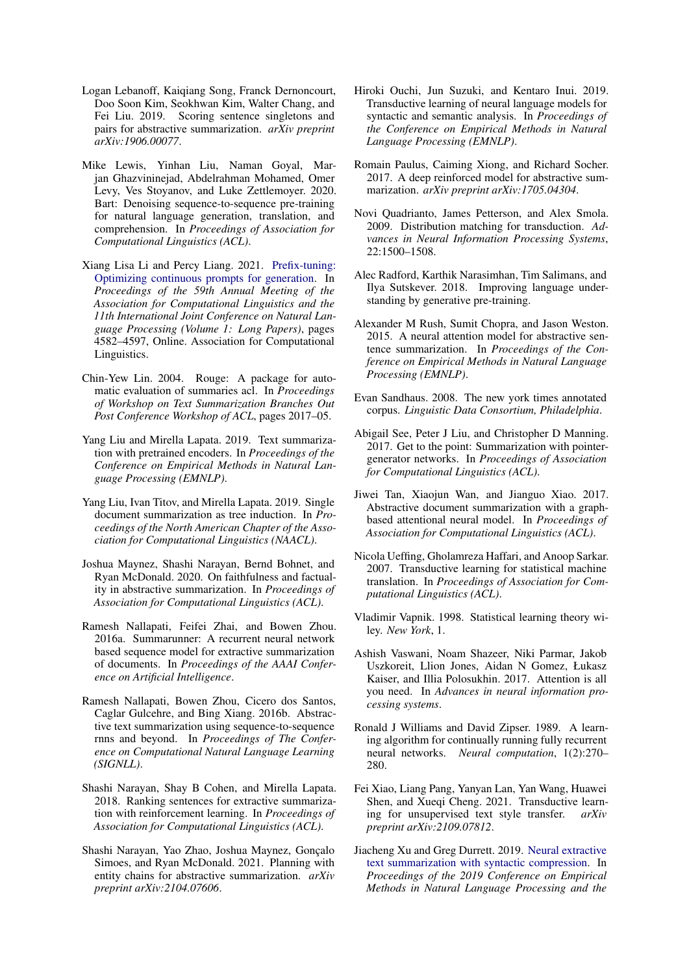- <span id="page-9-4"></span>Logan Lebanoff, Kaiqiang Song, Franck Dernoncourt, Doo Soon Kim, Seokhwan Kim, Walter Chang, and Fei Liu. 2019. Scoring sentence singletons and pairs for abstractive summarization. *arXiv preprint arXiv:1906.00077*.
- <span id="page-9-1"></span>Mike Lewis, Yinhan Liu, Naman Goyal, Marjan Ghazvininejad, Abdelrahman Mohamed, Omer Levy, Ves Stoyanov, and Luke Zettlemoyer. 2020. Bart: Denoising sequence-to-sequence pre-training for natural language generation, translation, and comprehension. In *Proceedings of Association for Computational Linguistics (ACL)*.
- <span id="page-9-23"></span>Xiang Lisa Li and Percy Liang. 2021. [Prefix-tuning:](https://doi.org/10.18653/v1/2021.acl-long.353) [Optimizing continuous prompts for generation.](https://doi.org/10.18653/v1/2021.acl-long.353) In *Proceedings of the 59th Annual Meeting of the Association for Computational Linguistics and the 11th International Joint Conference on Natural Language Processing (Volume 1: Long Papers)*, pages 4582–4597, Online. Association for Computational Linguistics.
- <span id="page-9-9"></span>Chin-Yew Lin. 2004. Rouge: A package for automatic evaluation of summaries acl. In *Proceedings of Workshop on Text Summarization Branches Out Post Conference Workshop of ACL*, pages 2017–05.
- <span id="page-9-0"></span>Yang Liu and Mirella Lapata. 2019. Text summarization with pretrained encoders. In *Proceedings of the Conference on Empirical Methods in Natural Language Processing (EMNLP)*.
- <span id="page-9-15"></span>Yang Liu, Ivan Titov, and Mirella Lapata. 2019. Single document summarization as tree induction. In *Proceedings of the North American Chapter of the Association for Computational Linguistics (NAACL)*.
- <span id="page-9-13"></span>Joshua Maynez, Shashi Narayan, Bernd Bohnet, and Ryan McDonald. 2020. On faithfulness and factuality in abstractive summarization. In *Proceedings of Association for Computational Linguistics (ACL)*.
- <span id="page-9-11"></span>Ramesh Nallapati, Feifei Zhai, and Bowen Zhou. 2016a. Summarunner: A recurrent neural network based sequence model for extractive summarization of documents. In *Proceedings of the AAAI Conference on Artificial Intelligence*.
- <span id="page-9-18"></span>Ramesh Nallapati, Bowen Zhou, Cicero dos Santos, Caglar Gulcehre, and Bing Xiang. 2016b. Abstractive text summarization using sequence-to-sequence rnns and beyond. In *Proceedings of The Conference on Computational Natural Language Learning (SIGNLL)*.
- <span id="page-9-14"></span>Shashi Narayan, Shay B Cohen, and Mirella Lapata. 2018. Ranking sentences for extractive summarization with reinforcement learning. In *Proceedings of Association for Computational Linguistics (ACL)*.
- <span id="page-9-24"></span>Shashi Narayan, Yao Zhao, Joshua Maynez, Gonçalo Simoes, and Ryan McDonald. 2021. Planning with entity chains for abstractive summarization. *arXiv preprint arXiv:2104.07606*.
- <span id="page-9-21"></span>Hiroki Ouchi, Jun Suzuki, and Kentaro Inui. 2019. Transductive learning of neural language models for syntactic and semantic analysis. In *Proceedings of the Conference on Empirical Methods in Natural Language Processing (EMNLP)*.
- <span id="page-9-10"></span>Romain Paulus, Caiming Xiong, and Richard Socher. 2017. A deep reinforced model for abstractive summarization. *arXiv preprint arXiv:1705.04304*.
- <span id="page-9-12"></span>Novi Quadrianto, James Petterson, and Alex Smola. 2009. Distribution matching for transduction. *Advances in Neural Information Processing Systems*, 22:1500–1508.
- <span id="page-9-2"></span>Alec Radford, Karthik Narasimhan, Tim Salimans, and Ilya Sutskever. 2018. Improving language understanding by generative pre-training.
- <span id="page-9-17"></span>Alexander M Rush, Sumit Chopra, and Jason Weston. 2015. A neural attention model for abstractive sentence summarization. In *Proceedings of the Conference on Empirical Methods in Natural Language Processing (EMNLP)*.
- <span id="page-9-6"></span>Evan Sandhaus. 2008. The new york times annotated corpus. *Linguistic Data Consortium, Philadelphia*.
- <span id="page-9-5"></span>Abigail See, Peter J Liu, and Christopher D Manning. 2017. Get to the point: Summarization with pointergenerator networks. In *Proceedings of Association for Computational Linguistics (ACL)*.
- <span id="page-9-19"></span>Jiwei Tan, Xiaojun Wan, and Jianguo Xiao. 2017. Abstractive document summarization with a graphbased attentional neural model. In *Proceedings of Association for Computational Linguistics (ACL)*.
- <span id="page-9-20"></span>Nicola Ueffing, Gholamreza Haffari, and Anoop Sarkar. 2007. Transductive learning for statistical machine translation. In *Proceedings of Association for Computational Linguistics (ACL)*.
- <span id="page-9-3"></span>Vladimir Vapnik. 1998. Statistical learning theory wiley. *New York*, 1.
- <span id="page-9-7"></span>Ashish Vaswani, Noam Shazeer, Niki Parmar, Jakob Uszkoreit, Llion Jones, Aidan N Gomez, Łukasz Kaiser, and Illia Polosukhin. 2017. Attention is all you need. In *Advances in neural information processing systems*.
- <span id="page-9-8"></span>Ronald J Williams and David Zipser. 1989. A learning algorithm for continually running fully recurrent neural networks. *Neural computation*, 1(2):270– 280.
- <span id="page-9-22"></span>Fei Xiao, Liang Pang, Yanyan Lan, Yan Wang, Huawei Shen, and Xueqi Cheng. 2021. Transductive learning for unsupervised text style transfer. *arXiv preprint arXiv:2109.07812*.
- <span id="page-9-16"></span>Jiacheng Xu and Greg Durrett. 2019. [Neural extractive](https://doi.org/10.18653/v1/D19-1324) [text summarization with syntactic compression.](https://doi.org/10.18653/v1/D19-1324) In *Proceedings of the 2019 Conference on Empirical Methods in Natural Language Processing and the*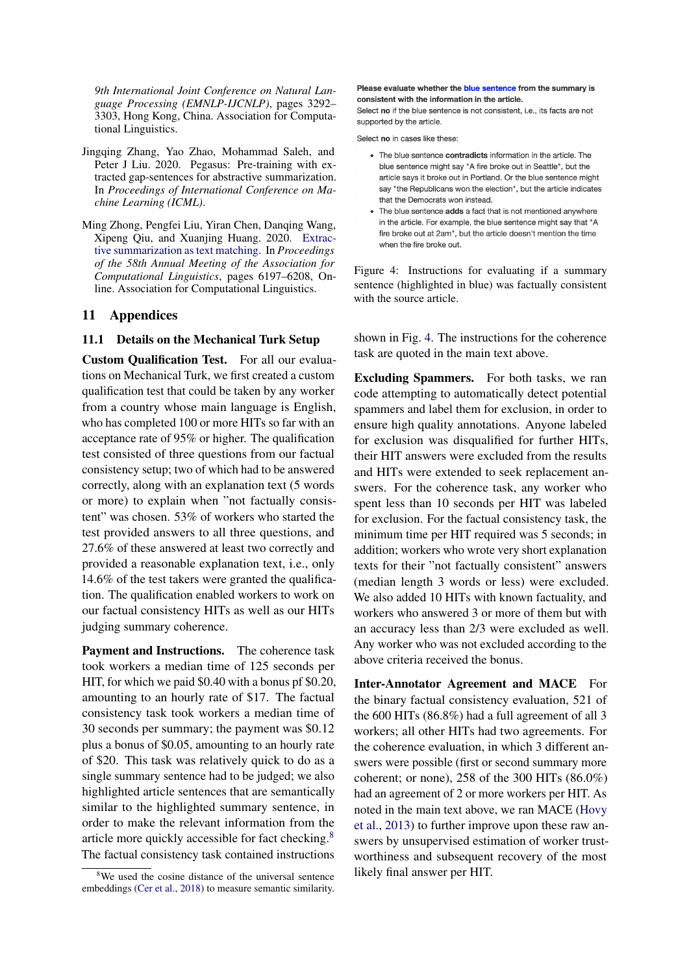*9th International Joint Conference on Natural Language Processing (EMNLP-IJCNLP)*, pages 3292– 3303, Hong Kong, China. Association for Computational Linguistics.

- <span id="page-10-0"></span>Jingqing Zhang, Yao Zhao, Mohammad Saleh, and Peter J Liu. 2020. Pegasus: Pre-training with extracted gap-sentences for abstractive summarization. In *Proceedings of International Conference on Machine Learning (ICML)*.
- <span id="page-10-2"></span>Ming Zhong, Pengfei Liu, Yiran Chen, Danqing Wang, Xipeng Qiu, and Xuanjing Huang. 2020. [Extrac](https://doi.org/10.18653/v1/2020.acl-main.552)[tive summarization as text matching.](https://doi.org/10.18653/v1/2020.acl-main.552) In *Proceedings of the 58th Annual Meeting of the Association for Computational Linguistics*, pages 6197–6208, Online. Association for Computational Linguistics.

## 11 Appendices

#### <span id="page-10-1"></span>11.1 Details on the Mechanical Turk Setup

Custom Qualification Test. For all our evaluations on Mechanical Turk, we first created a custom qualification test that could be taken by any worker from a country whose main language is English, who has completed 100 or more HITs so far with an acceptance rate of 95% or higher. The qualification test consisted of three questions from our factual consistency setup; two of which had to be answered correctly, along with an explanation text (5 words or more) to explain when "not factually consistent" was chosen. 53% of workers who started the test provided answers to all three questions, and 27.6% of these answered at least two correctly and provided a reasonable explanation text, i.e., only 14.6% of the test takers were granted the qualification. The qualification enabled workers to work on our factual consistency HITs as well as our HITs judging summary coherence.

Payment and Instructions. The coherence task took workers a median time of 125 seconds per HIT, for which we paid \$0.40 with a bonus pf \$0.20, amounting to an hourly rate of \$17. The factual consistency task took workers a median time of 30 seconds per summary; the payment was \$0.12 plus a bonus of \$0.05, amounting to an hourly rate of \$20. This task was relatively quick to do as a single summary sentence had to be judged; we also highlighted article sentences that are semantically similar to the highlighted summary sentence, in order to make the relevant information from the article more quickly accessible for fact checking.[8](#page-10-3) The factual consistency task contained instructions

#### <span id="page-10-4"></span>Please evaluate whether the blue sentence from the summary is consistent with the information in the article.

Select no if the blue sentence is not consistent, i.e., its facts are not supported by the article

Select no in cases like these:

- The blue sentence contradicts information in the article. The blue sentence might say "A fire broke out in Seattle", but the article says it broke out in Portland. Or the blue sentence might say "the Republicans won the election", but the article indicates that the Democrats won instead.
- The blue sentence adds a fact that is not mentioned anywhere in the article. For example, the blue sentence might say that "A fire broke out at 2am", but the article doesn't mention the time when the fire broke out.

Figure 4: Instructions for evaluating if a summary sentence (highlighted in blue) was factually consistent with the source article.

shown in Fig. [4.](#page-10-4) The instructions for the coherence task are quoted in the main text above.

Excluding Spammers. For both tasks, we ran code attempting to automatically detect potential spammers and label them for exclusion, in order to ensure high quality annotations. Anyone labeled for exclusion was disqualified for further HITs, their HIT answers were excluded from the results and HITs were extended to seek replacement answers. For the coherence task, any worker who spent less than 10 seconds per HIT was labeled for exclusion. For the factual consistency task, the minimum time per HIT required was 5 seconds; in addition; workers who wrote very short explanation texts for their "not factually consistent" answers (median length 3 words or less) were excluded. We also added 10 HITs with known factuality, and workers who answered 3 or more of them but with an accuracy less than 2/3 were excluded as well. Any worker who was not excluded according to the above criteria received the bonus.

Inter-Annotator Agreement and MACE For the binary factual consistency evaluation, 521 of the 600 HITs (86.8%) had a full agreement of all 3 workers; all other HITs had two agreements. For the coherence evaluation, in which 3 different answers were possible (first or second summary more coherent; or none), 258 of the 300 HITs (86.0%) had an agreement of 2 or more workers per HIT. As noted in the main text above, we ran MACE [\(Hovy](#page-8-8) [et al.,](#page-8-8) [2013\)](#page-8-8) to further improve upon these raw answers by unsupervised estimation of worker trustworthiness and subsequent recovery of the most likely final answer per HIT.

<span id="page-10-3"></span><sup>&</sup>lt;sup>8</sup>We used the cosine distance of the universal sentence embeddings [\(Cer et al.,](#page-8-20) [2018\)](#page-8-20) to measure semantic similarity.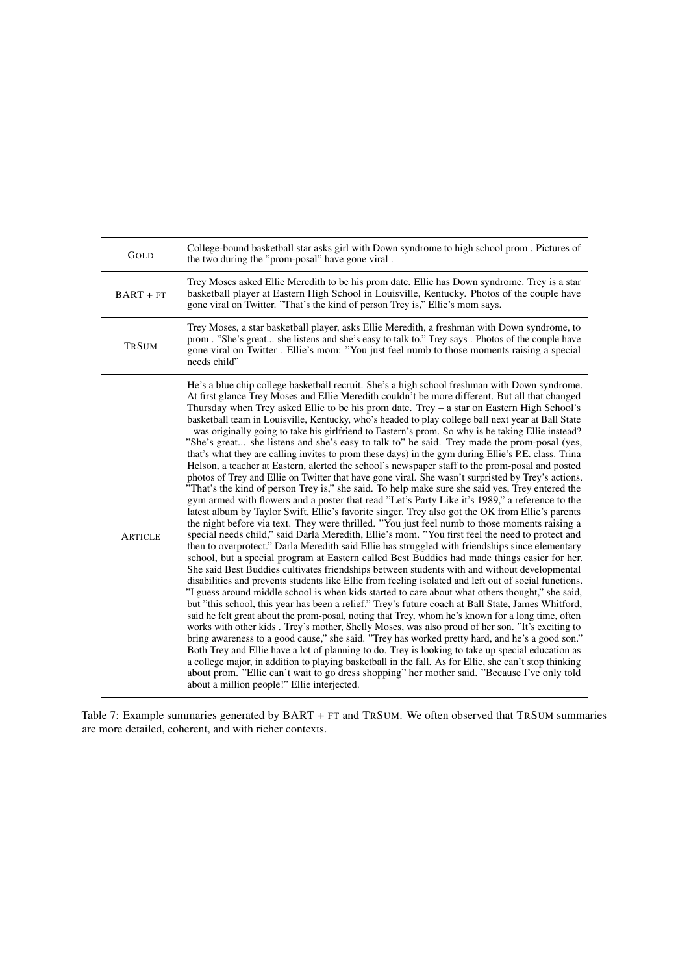| GOLD           | College-bound basketball star asks girl with Down syndrome to high school prom . Pictures of<br>the two during the "prom-posal" have gone viral.                                                                                                                                                                                                                                                                                                                                                                                                                                                                                                                                                                                                                                                                                                                                                                                                                                                                                                                                                                                                                                                                                                                                                                                                                                                                                                                                                                                                                                                                                                                                                                                                                                                                                                                                                                                                                                                                                                                                                                                                                                                                                                                                                                                                                                                                                                                                                                                                                                                                                                                                                                                        |
|----------------|-----------------------------------------------------------------------------------------------------------------------------------------------------------------------------------------------------------------------------------------------------------------------------------------------------------------------------------------------------------------------------------------------------------------------------------------------------------------------------------------------------------------------------------------------------------------------------------------------------------------------------------------------------------------------------------------------------------------------------------------------------------------------------------------------------------------------------------------------------------------------------------------------------------------------------------------------------------------------------------------------------------------------------------------------------------------------------------------------------------------------------------------------------------------------------------------------------------------------------------------------------------------------------------------------------------------------------------------------------------------------------------------------------------------------------------------------------------------------------------------------------------------------------------------------------------------------------------------------------------------------------------------------------------------------------------------------------------------------------------------------------------------------------------------------------------------------------------------------------------------------------------------------------------------------------------------------------------------------------------------------------------------------------------------------------------------------------------------------------------------------------------------------------------------------------------------------------------------------------------------------------------------------------------------------------------------------------------------------------------------------------------------------------------------------------------------------------------------------------------------------------------------------------------------------------------------------------------------------------------------------------------------------------------------------------------------------------------------------------------------|
| $BART + FT$    | Trey Moses asked Ellie Meredith to be his prom date. Ellie has Down syndrome. Trey is a star<br>basketball player at Eastern High School in Louisville, Kentucky. Photos of the couple have<br>gone viral on Twitter. "That's the kind of person Trey is," Ellie's mom says.                                                                                                                                                                                                                                                                                                                                                                                                                                                                                                                                                                                                                                                                                                                                                                                                                                                                                                                                                                                                                                                                                                                                                                                                                                                                                                                                                                                                                                                                                                                                                                                                                                                                                                                                                                                                                                                                                                                                                                                                                                                                                                                                                                                                                                                                                                                                                                                                                                                            |
| TRSUM          | Trey Moses, a star basketball player, asks Ellie Meredith, a freshman with Down syndrome, to<br>prom. "She's great she listens and she's easy to talk to," Trey says. Photos of the couple have<br>gone viral on Twitter. Ellie's mom: "You just feel numb to those moments raising a special<br>needs child"                                                                                                                                                                                                                                                                                                                                                                                                                                                                                                                                                                                                                                                                                                                                                                                                                                                                                                                                                                                                                                                                                                                                                                                                                                                                                                                                                                                                                                                                                                                                                                                                                                                                                                                                                                                                                                                                                                                                                                                                                                                                                                                                                                                                                                                                                                                                                                                                                           |
| <b>ARTICLE</b> | He's a blue chip college basketball recruit. She's a high school freshman with Down syndrome.<br>At first glance Trey Moses and Ellie Meredith couldn't be more different. But all that changed<br>Thursday when Trey asked Ellie to be his prom date. Trey – a star on Eastern High School's<br>basketball team in Louisville, Kentucky, who's headed to play college ball next year at Ball State<br>- was originally going to take his girlfriend to Eastern's prom. So why is he taking Ellie instead?<br>"She's great she listens and she's easy to talk to" he said. Trey made the prom-posal (yes,<br>that's what they are calling invites to prom these days) in the gym during Ellie's P.E. class. Trina<br>Helson, a teacher at Eastern, alerted the school's newspaper staff to the prom-posal and posted<br>photos of Trey and Ellie on Twitter that have gone viral. She wasn't surpristed by Trey's actions.<br>"That's the kind of person Trey is," she said. To help make sure she said yes, Trey entered the<br>gym armed with flowers and a poster that read "Let's Party Like it's 1989," a reference to the<br>latest album by Taylor Swift, Ellie's favorite singer. Trey also got the OK from Ellie's parents<br>the night before via text. They were thrilled. "You just feel numb to those moments raising a<br>special needs child," said Darla Meredith, Ellie's mom. "You first feel the need to protect and<br>then to overprotect." Darla Meredith said Ellie has struggled with friendships since elementary<br>school, but a special program at Eastern called Best Buddies had made things easier for her.<br>She said Best Buddies cultivates friendships between students with and without developmental<br>disabilities and prevents students like Ellie from feeling isolated and left out of social functions.<br>"I guess around middle school is when kids started to care about what others thought," she said,<br>but "this school, this year has been a relief." Trey's future coach at Ball State, James Whitford,<br>said he felt great about the prom-posal, noting that Trey, whom he's known for a long time, often<br>works with other kids . Trey's mother, Shelly Moses, was also proud of her son. "It's exciting to<br>bring awareness to a good cause," she said. "Trey has worked pretty hard, and he's a good son."<br>Both Trey and Ellie have a lot of planning to do. Trey is looking to take up special education as<br>a college major, in addition to playing basketball in the fall. As for Ellie, she can't stop thinking<br>about prom. "Ellie can't wait to go dress shopping" her mother said. "Because I've only told<br>about a million people!" Ellie interjected. |

Table 7: Example summaries generated by BART + FT and TRSUM. We often observed that TRSUM summaries are more detailed, coherent, and with richer contexts.